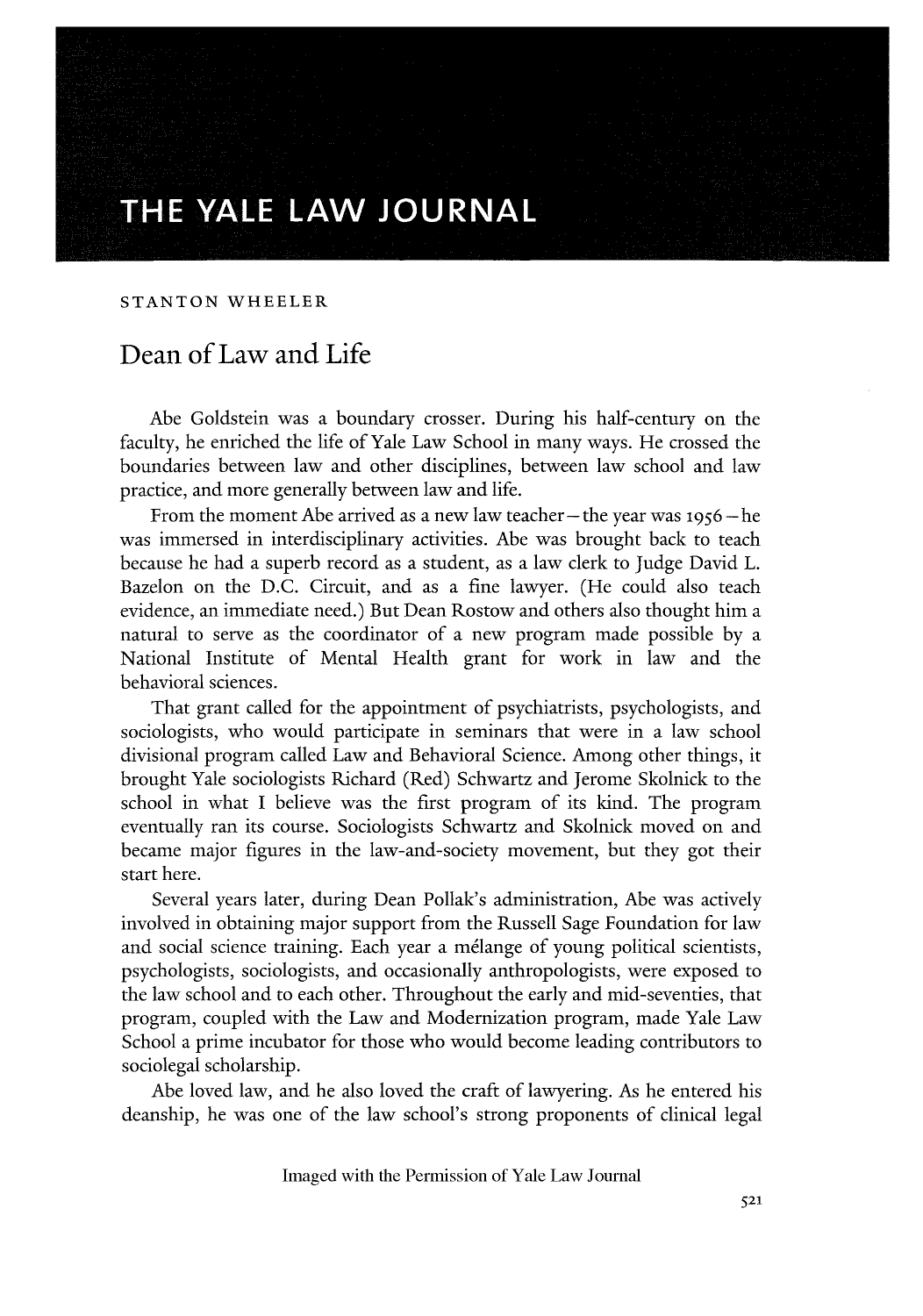## **THE YALE LAW JOURNAL**

## **STANTON** WHEELER

## Dean of Law and Life

Abe Goldstein was a boundary crosser. During his half-century on the faculty, he enriched the life of Yale Law School in many ways. He crossed the boundaries between law and other disciplines, between law school and law practice, and more generally between law and life.

From the moment Abe arrived as a new law teacher – the year was 1956 – he was immersed in interdisciplinary activities. Abe was brought back to teach because he had a superb record as a student, as a law clerk to Judge David L. Bazelon on the D.C. Circuit, and as a fine lawyer. (He could also teach evidence, an immediate need.) But Dean Rostow and others also thought him a natural to serve as the coordinator of a new program made possible by a National Institute of Mental Health grant for work in law and the behavioral sciences.

That grant called for the appointment of psychiatrists, psychologists, and sociologists, who would participate in seminars that were in a law school divisional program called Law and Behavioral Science. Among other things, it brought Yale sociologists Richard (Red) Schwartz and Jerome Skolnick to the school in what I believe was the first program of its kind. The program eventually ran its course. Sociologists Schwartz and Skolnick moved on and became major figures in the law-and-society movement, but they got their start here.

Several years later, during Dean Pollak's administration, Abe was actively involved in obtaining major support from the Russell Sage Foundation for law and social science training. Each year a mélange of young political scientists, psychologists, sociologists, and occasionally anthropologists, were exposed to the law school and to each other. Throughout the early and mid-seventies, that program, coupled with the Law and Modernization program, made Yale Law School a prime incubator for those who would become leading contributors to sociolegal scholarship.

Abe loved law, and he also loved the craft of lawyering. As he entered his deanship, he was one of the law school's strong proponents of clinical legal

Imaged with the Permission of Yale Law Journal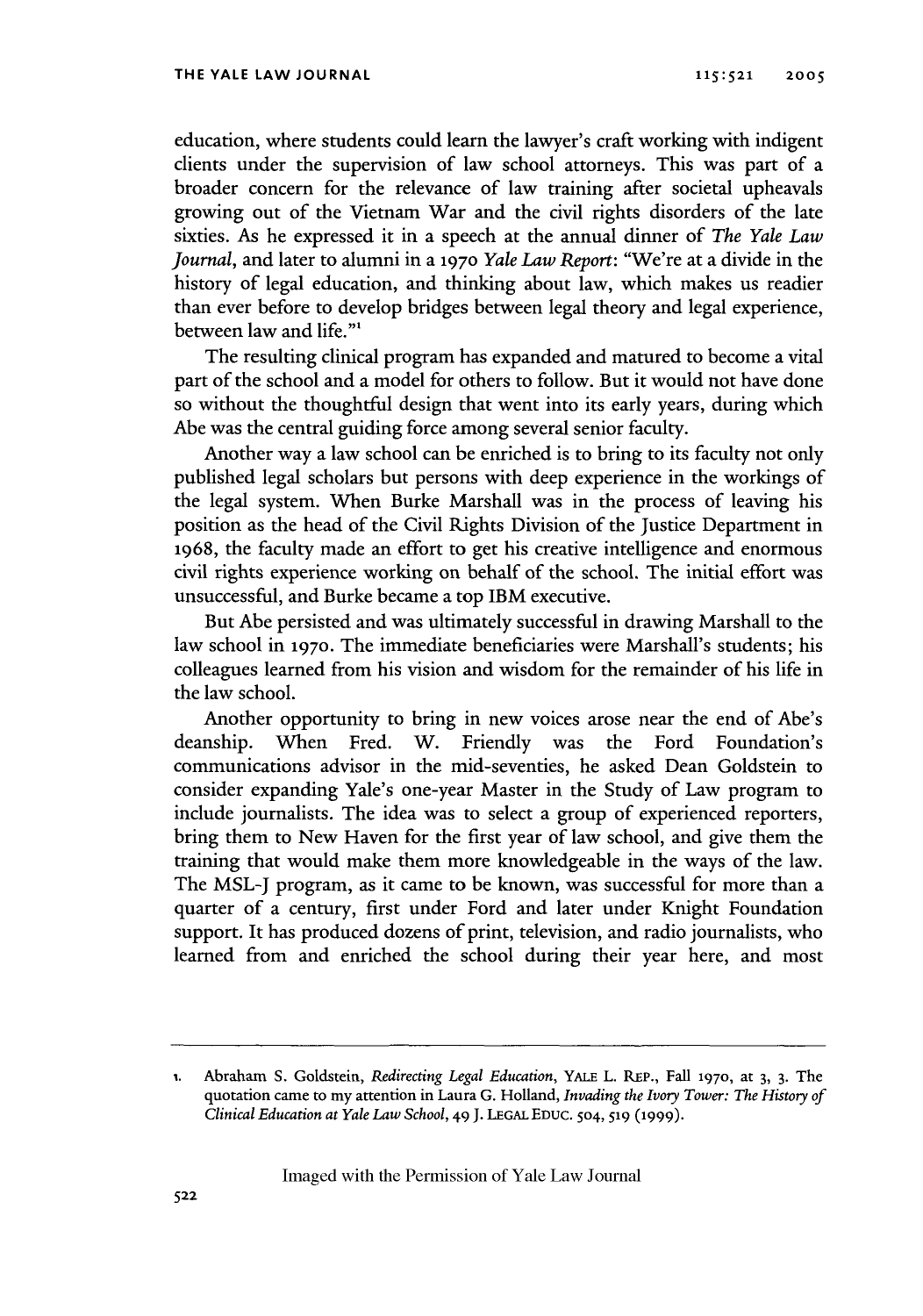education, where students could learn the lawyer's craft working with indigent clients under the supervision of law school attorneys. This was part of a broader concern for the relevance of law training after societal upheavals growing out of the Vietnam War and the civil rights disorders of the late sixties. As he expressed it in a speech at the annual dinner of *The Yale Law Journal,* and later to alumni in a **1970** *Yale Law Report:* "We're at a divide in the history of legal education, and thinking about law, which makes us readier than ever before to develop bridges between legal theory and legal experience, between law and life."'

The resulting clinical program has expanded and matured to become a vital part of the school and a model for others to follow. But it would not have done so without the thoughtful design that went into its early years, during which Abe was the central guiding force among several senior faculty.

Another way a law school can be enriched is to bring to its faculty not only published legal scholars but persons with deep experience in the workings of the legal system. When Burke Marshall was in the process of leaving his position as the head of the Civil Rights Division of the Justice Department in **1968,** the faculty made an effort to get his creative intelligence and enormous civil rights experience working on behalf of the school. The initial effort was unsuccessful, and Burke became a top IBM executive.

But Abe persisted and was ultimately successful in drawing Marshall to the law school in **1970.** The immediate beneficiaries were Marshall's students; his colleagues learned from his vision and wisdom for the remainder of his life in the law school.

Another opportunity to bring in new voices arose near the end of Abe's deanship. When Fred. W. Friendly was the Ford Foundation's communications advisor in the mid-seventies, he asked Dean Goldstein to consider expanding Yale's one-year Master in the Study of Law program to include journalists. The idea was to select a group of experienced reporters, bring them to New Haven for the first year of law school, and give them the training that would make them more knowledgeable in the ways of the law. The MSL-J program, as it came to be known, was successful for more than a quarter of a century, first under Ford and later under Knight Foundation support. It has produced dozens of print, television, and radio journalists, who learned from and enriched the school during their year here, and most

Imaged with the Permission of Yale Law Journal

**<sup>1.</sup>** Abraham S. Goldstein, *Redirecting Legal Education,* YALE L. **REP.,** Fall **1970,** at 3, **3.** The quotation came to my attention in Laura G. Holland, *Invading the Ivory Tower: The History of Clinical Education at Yale Law School, 49* J. **LEGAL EDUC.** 504, **519 (1999).**